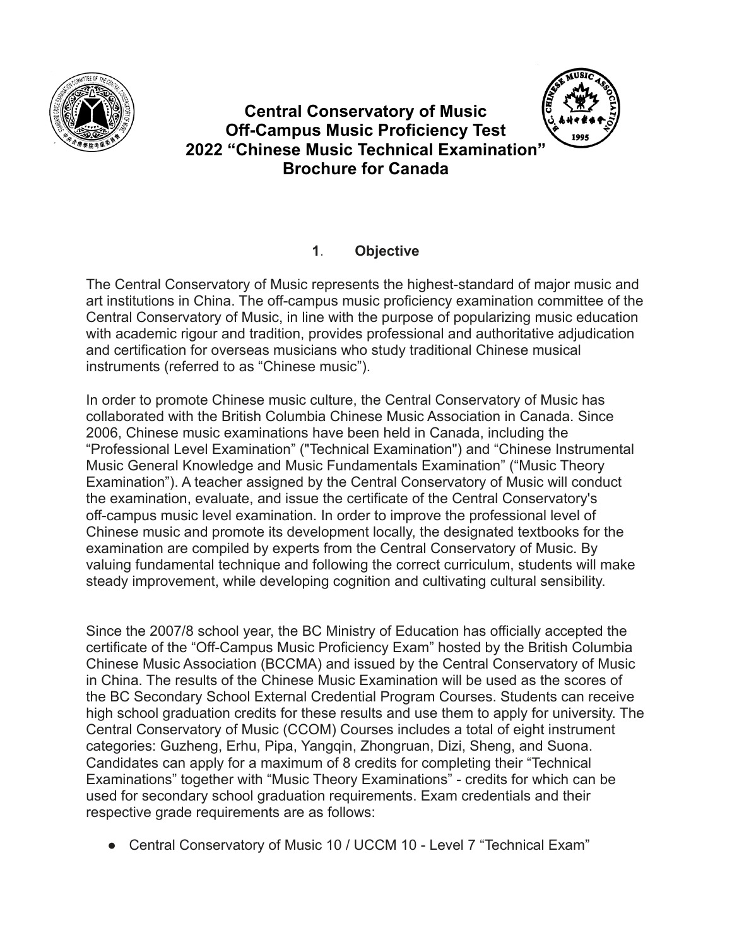

# **Central Conservatory of Music Off-Campus Music Proficiency Test 2022 "Chinese Music Technical Examination" Brochure for Canada**



#### **1**. **Objective**

The Central Conservatory of Music represents the highest-standard of major music and art institutions in China. The off-campus music proficiency examination committee of the Central Conservatory of Music, in line with the purpose of popularizing music education with academic rigour and tradition, provides professional and authoritative adjudication and certification for overseas musicians who study traditional Chinese musical instruments (referred to as "Chinese music").

In order to promote Chinese music culture, the Central Conservatory of Music has collaborated with the British Columbia Chinese Music Association in Canada. Since 2006, Chinese music examinations have been held in Canada, including the "Professional Level Examination" ("Technical Examination") and "Chinese Instrumental Music General Knowledge and Music Fundamentals Examination" ("Music Theory Examination"). A teacher assigned by the Central Conservatory of Music will conduct the examination, evaluate, and issue the certificate of the Central Conservatory's off-campus music level examination. In order to improve the professional level of Chinese music and promote its development locally, the designated textbooks for the examination are compiled by experts from the Central Conservatory of Music. By valuing fundamental technique and following the correct curriculum, students will make steady improvement, while developing cognition and cultivating cultural sensibility.

Since the 2007/8 school year, the BC Ministry of Education has officially accepted the certificate of the "Off-Campus Music Proficiency Exam" hosted by the British Columbia Chinese Music Association (BCCMA) and issued by the Central Conservatory of Music in China. The results of the Chinese Music Examination will be used as the scores of the BC Secondary School External Credential Program Courses. Students can receive high school graduation credits for these results and use them to apply for university. The Central Conservatory of Music (CCOM) Courses includes a total of eight instrument categories: Guzheng, Erhu, Pipa, Yangqin, Zhongruan, Dizi, Sheng, and Suona. Candidates can apply for a maximum of 8 credits for completing their "Technical Examinations" together with "Music Theory Examinations" - credits for which can be used for secondary school graduation requirements. Exam credentials and their respective grade requirements are as follows:

• Central Conservatory of Music 10 / UCCM 10 - Level 7 "Technical Exam"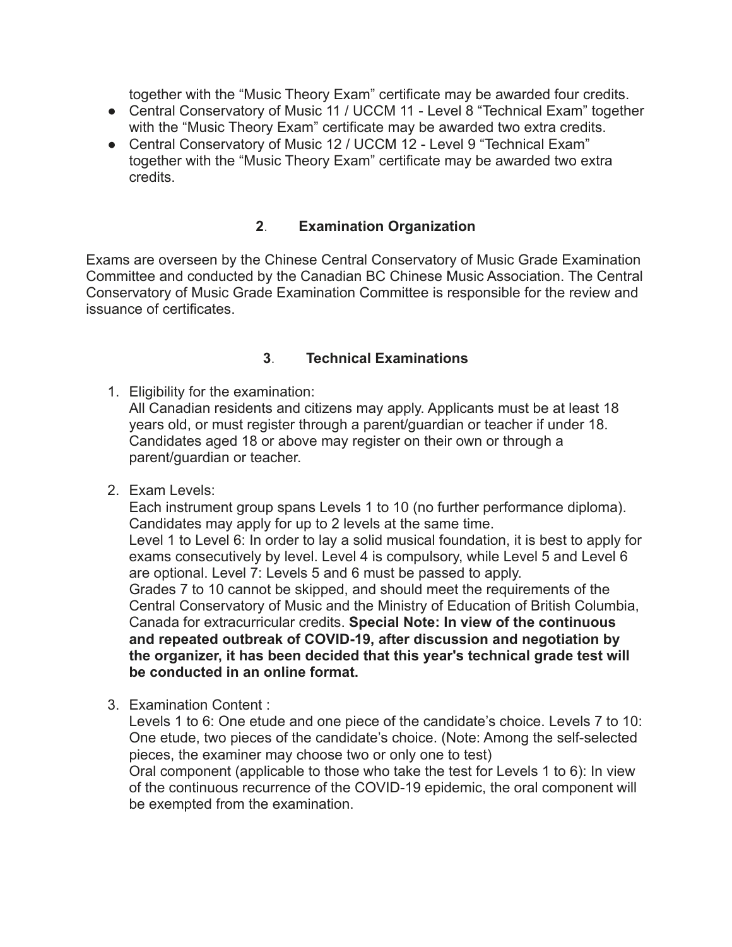together with the "Music Theory Exam" certificate may be awarded four credits.

- Central Conservatory of Music 11 / UCCM 11 Level 8 "Technical Exam" together with the "Music Theory Exam" certificate may be awarded two extra credits.
- Central Conservatory of Music 12 / UCCM 12 Level 9 "Technical Exam" together with the "Music Theory Exam" certificate may be awarded two extra credits.

### **2**. **Examination Organization**

Exams are overseen by the Chinese Central Conservatory of Music Grade Examination Committee and conducted by the Canadian BC Chinese Music Association. The Central Conservatory of Music Grade Examination Committee is responsible for the review and issuance of certificates.

### **3**. **Technical Examinations**

1. Eligibility for the examination:

All Canadian residents and citizens may apply. Applicants must be at least 18 years old, or must register through a parent/guardian or teacher if under 18. Candidates aged 18 or above may register on their own or through a parent/guardian or teacher.

2. Exam Levels:

Each instrument group spans Levels 1 to 10 (no further performance diploma). Candidates may apply for up to 2 levels at the same time.

Level 1 to Level 6: In order to lay a solid musical foundation, it is best to apply for exams consecutively by level. Level 4 is compulsory, while Level 5 and Level 6 are optional. Level 7: Levels 5 and 6 must be passed to apply.

Grades 7 to 10 cannot be skipped, and should meet the requirements of the Central Conservatory of Music and the Ministry of Education of British Columbia, Canada for extracurricular credits. **Special Note: In view of the continuous and repeated outbreak of COVID-19, after discussion and negotiation by the organizer, it has been decided that this year's technical grade test will be conducted in an online format.**

3. Examination Content :

Levels 1 to 6: One etude and one piece of the candidate's choice. Levels 7 to 10: One etude, two pieces of the candidate's choice. (Note: Among the self-selected pieces, the examiner may choose two or only one to test)

Oral component (applicable to those who take the test for Levels 1 to 6): In view of the continuous recurrence of the COVID-19 epidemic, the oral component will be exempted from the examination.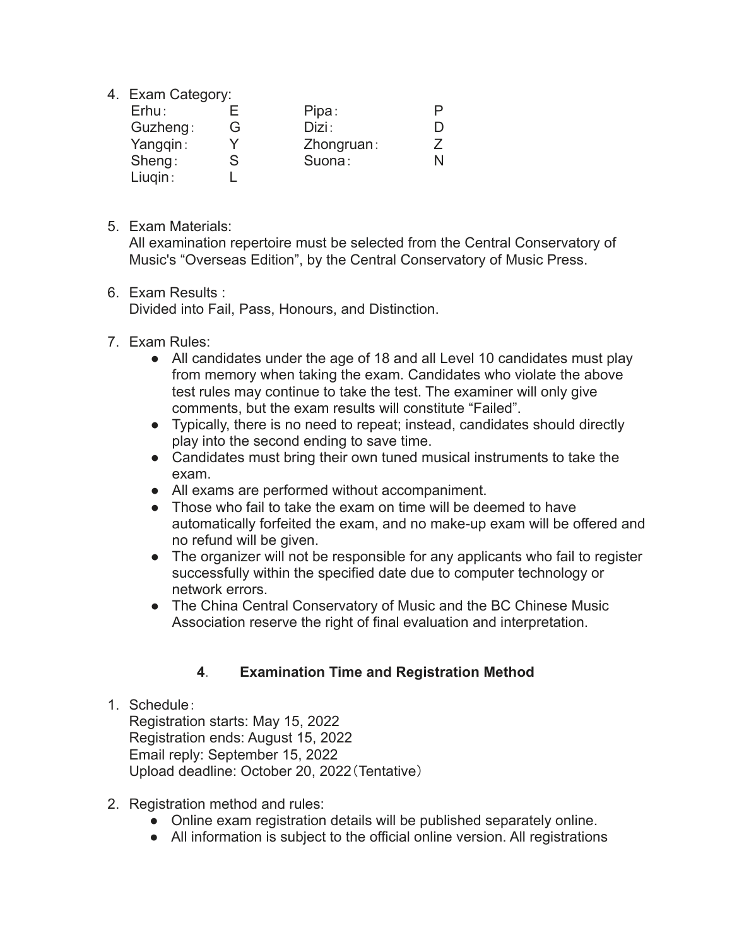4. Exam Category:

| Erhu:    |   | Pipa:      |   |
|----------|---|------------|---|
| Guzheng: | G | Dizi:      |   |
| Yangqin: |   | Zhongruan: |   |
| Sheng:   | S | Suona:     | N |
| Liugin:  |   |            |   |

5. Exam Materials:

All examination repertoire must be selected from the Central Conservatory of Music's "Overseas Edition", by the Central Conservatory of Music Press.

#### 6. Exam Results :

Divided into Fail, Pass, Honours, and Distinction.

- 7. Exam Rules:
	- All candidates under the age of 18 and all Level 10 candidates must play from memory when taking the exam. Candidates who violate the above test rules may continue to take the test. The examiner will only give comments, but the exam results will constitute "Failed".
	- Typically, there is no need to repeat; instead, candidates should directly play into the second ending to save time.
	- Candidates must bring their own tuned musical instruments to take the exam.
	- All exams are performed without accompaniment.
	- Those who fail to take the exam on time will be deemed to have automatically forfeited the exam, and no make-up exam will be offered and no refund will be given.
	- The organizer will not be responsible for any applicants who fail to register successfully within the specified date due to computer technology or network errors.
	- The China Central Conservatory of Music and the BC Chinese Music Association reserve the right of final evaluation and interpretation.

## **4**. **Examination Time and Registration Method**

1. Schedule:

Registration starts: May 15, 2022 Registration ends: August 15, 2022 Email reply: September 15, 2022 Upload deadline: October 20, 2022(Tentative)

- 2. Registration method and rules:
	- Online exam registration details will be published separately online.
	- All information is subject to the official online version. All registrations